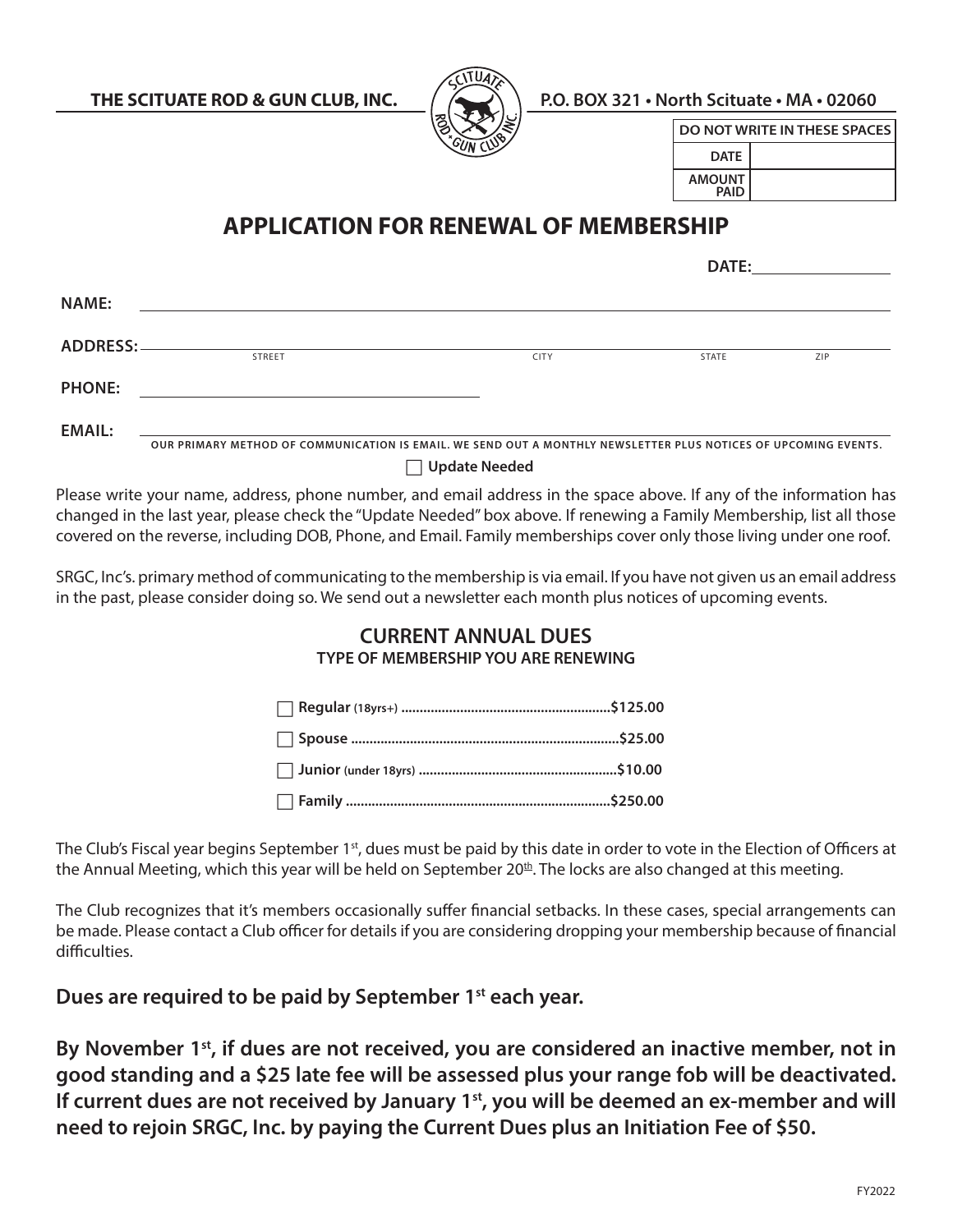

**THE SCITUATE ROD & GUN CLUB, INC. P.O. BOX 321 • North Scituate • MA • 02060**

| DO NOT WRITE IN THESE SPACES I |  |  |  |  |
|--------------------------------|--|--|--|--|
| <b>DATE</b>                    |  |  |  |  |
| <b>AMOUNT</b><br><b>PAID</b>   |  |  |  |  |

## **APPLICATION FOR RENEWAL OF MEMBERSHIP**

|                   |                                                                                                                 |                      | DATE: |     |
|-------------------|-----------------------------------------------------------------------------------------------------------------|----------------------|-------|-----|
| <b>NAME:</b>      |                                                                                                                 |                      |       |     |
| <b>ADDRESS: -</b> | <b>STREET</b>                                                                                                   | <b>CITY</b>          | STATE | ZIP |
| <b>PHONE:</b>     |                                                                                                                 |                      |       |     |
| <b>EMAIL:</b>     | OUR PRIMARY METHOD OF COMMUNICATION IS EMAIL. WE SEND OUT A MONTHLY NEWSLETTER PLUS NOTICES OF UPCOMING EVENTS. |                      |       |     |
|                   |                                                                                                                 | <b>Update Needed</b> |       |     |

Please write your name, address, phone number, and email address in the space above. If any of the information has changed in the last year, please check the "Update Needed" box above. If renewing a Family Membership, list all those covered on the reverse, including DOB, Phone, and Email. Family memberships cover only those living under one roof.

SRGC, Inc's. primary method of communicating to the membership is via email. If you have not given us an email address in the past, please consider doing so. We send out a newsletter each month plus notices of upcoming events.

## **CURRENT ANNUAL DUES TYPE OF MEMBERSHIP YOU ARE RENEWING**

The Club's Fiscal year begins September 1<sup>st</sup>, dues must be paid by this date in order to vote in the Election of Officers at the Annual Meeting, which this year will be held on September 20<sup>th</sup>. The locks are also changed at this meeting.

The Club recognizes that it's members occasionally suffer financial setbacks. In these cases, special arrangements can be made. Please contact a Club officer for details if you are considering dropping your membership because of financial difficulties.

**Dues are required to be paid by September 1st each year.**

By November 1<sup>st</sup>, if dues are not received, you are considered an inactive member, not in **good standing and a \$25 late fee will be assessed plus your range fob will be deactivated.**  If current dues are not received by January 1<sup>st</sup>, you will be deemed an ex-member and will **need to rejoin SRGC, Inc. by paying the Current Dues plus an Initiation Fee of \$50.**